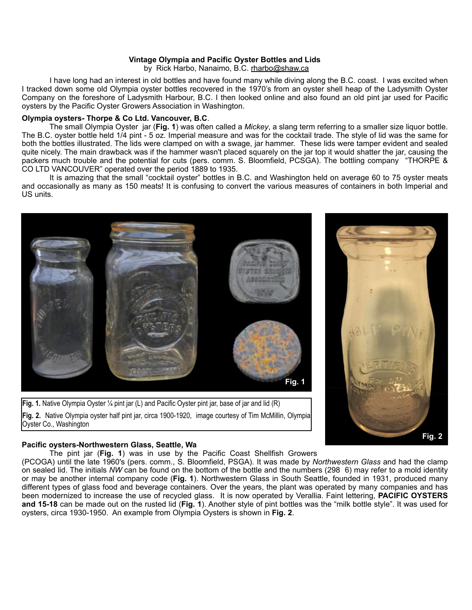## **Vintage Olympia and Pacific Oyster Bottles and Lids**

by Rick Harbo, Nanaimo, B.C. [rharbo@shaw.ca](mailto:rharbo@shaw.ca)

 I have long had an interest in old bottles and have found many while diving along the B.C. coast. I was excited when I tracked down some old Olympia oyster bottles recovered in the 1970's from an oyster shell heap of the Ladysmith Oyster Company on the foreshore of Ladysmith Harbour, B.C. I then looked online and also found an old pint jar used for Pacific oysters by the Pacific Oyster Growers Association in Washington.

### **Olympia oysters- Thorpe & Co Ltd. Vancouver, B.C**.

 The small Olympia Oyster jar (**Fig. 1**) was often called a *Mickey*, a slang term referring to a smaller size liquor bottle. The B.C. oyster bottle held 1/4 pint - 5 oz. Imperial measure and was for the cocktail trade. The style of lid was the same for both the bottles illustrated. The lids were clamped on with a swage, jar hammer. These lids were tamper evident and sealed quite nicely. The main drawback was if the hammer wasn't placed squarely on the jar top it would shatter the jar, causing the packers much trouble and the potential for cuts (pers. comm. S. Bloomfield, PCSGA). The bottling company "THORPE & CO LTD VANCOUVER" operated over the period 1889 to 1935.

 It is amazing that the small "cocktail oyster" bottles in B.C. and Washington held on average 60 to 75 oyster meats and occasionally as many as 150 meats! It is confusing to convert the various measures of containers in both Imperial and US units.



**Fig. 1.** Native Olympia Oyster ¼ pint jar (L) and Pacific Oyster pint jar, base of jar and lid (R) **Fig. 2.** Native Olympia oyster half pint jar, circa 1900-1920, image courtesy of Tim McMillin, Olympia Oyster Co., Washington

# **Fig. 2**

## **Pacific oysters-Northwestern Glass, Seattle, Wa**

The pint jar (**Fig. 1**) was in use by the Pacific Coast Shellfish Growers

(PCOGA) until the late 1960's (pers. comm., S. Bloomfield, PSGA). It was made by *Northwestern Glass* and had the clamp on sealed lid. The initials *NW* can be found on the bottom of the bottle and the numbers (298 6) may refer to a mold identity or may be another internal company code (**Fig. 1**). Northwestern Glass in South Seattle, founded in 1931, produced many different types of glass food and beverage containers. Over the years, the plant was operated by many companies and has been modernized to increase the use of recycled glass. It is now operated by Verallia. Faint lettering, **PACIFIC OYSTERS and 15-18** can be made out on the rusted lid (**Fig. 1**). Another style of pint bottles was the "milk bottle style". It was used for oysters, circa 1930-1950. An example from Olympia Oysters is shown in **Fig. 2**.